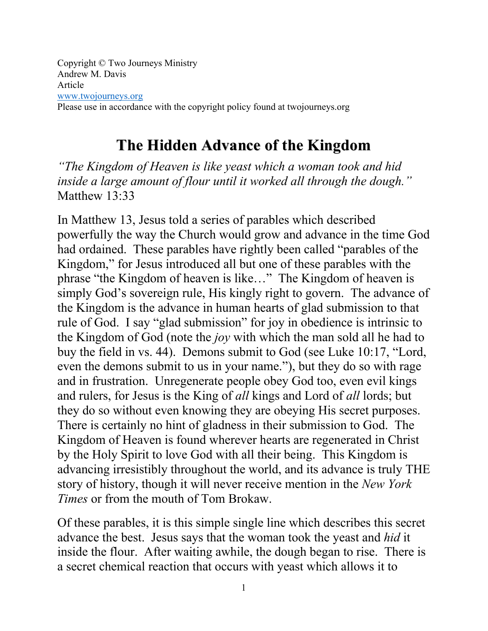Copyright © Two Journeys Ministry Andrew M. Davis Article www.twojourneys.org Please use in accordance with the copyright policy found at twojourneys.org

## **The Hidden Advance of the Kingdom**

*"The Kingdom of Heaven is like yeast which a woman took and hid inside a large amount of flour until it worked all through the dough."*  Matthew 13:33

In Matthew 13, Jesus told a series of parables which described powerfully the way the Church would grow and advance in the time God had ordained. These parables have rightly been called "parables of the Kingdom," for Jesus introduced all but one of these parables with the phrase "the Kingdom of heaven is like…" The Kingdom of heaven is simply God's sovereign rule, His kingly right to govern. The advance of the Kingdom is the advance in human hearts of glad submission to that rule of God. I say "glad submission" for joy in obedience is intrinsic to the Kingdom of God (note the *joy* with which the man sold all he had to buy the field in vs. 44). Demons submit to God (see Luke 10:17, "Lord, even the demons submit to us in your name."), but they do so with rage and in frustration. Unregenerate people obey God too, even evil kings and rulers, for Jesus is the King of *all* kings and Lord of *all* lords; but they do so without even knowing they are obeying His secret purposes. There is certainly no hint of gladness in their submission to God. The Kingdom of Heaven is found wherever hearts are regenerated in Christ by the Holy Spirit to love God with all their being. This Kingdom is advancing irresistibly throughout the world, and its advance is truly THE story of history, though it will never receive mention in the *New York Times* or from the mouth of Tom Brokaw.

Of these parables, it is this simple single line which describes this secret advance the best. Jesus says that the woman took the yeast and *hid* it inside the flour. After waiting awhile, the dough began to rise. There is a secret chemical reaction that occurs with yeast which allows it to